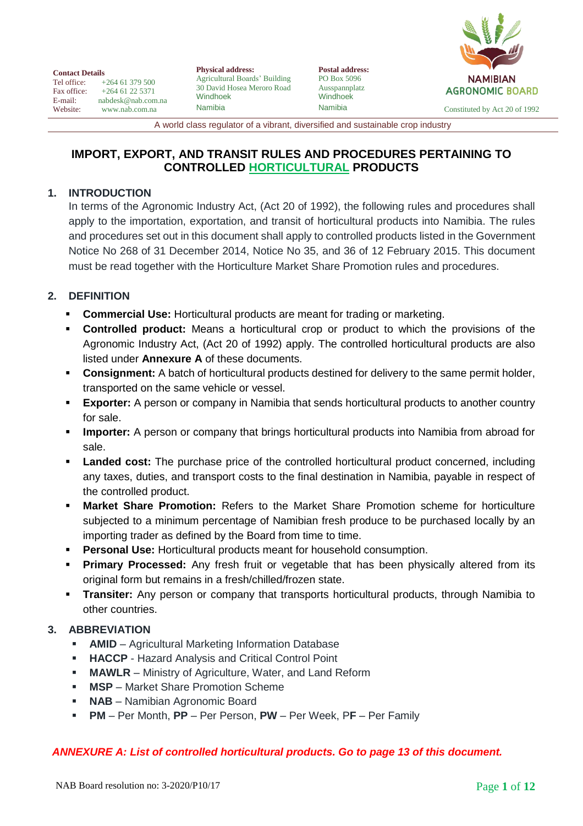| <b>Postal address:</b><br>PO Box 5096 | <b>NAMIBIAN</b>               |
|---------------------------------------|-------------------------------|
| Ausspannplatz<br>Windhoek             | <b>AGRONOMIC BOARD</b>        |
| Namibia                               | Constituted by Act 20 of 1992 |

**Contact Details**<br>Tel office: + Tel office:  $+264\,61\,379\,500$ <br>Fax office:  $+264\,61\,22\,5371$ Fax office:  $+264\,61\,22\,5371$ <br>E-mail: nabdesk@nab.com E-mail: nabdesk@nab.com.na<br>Website: www.nab.com.na [www.nab.com.na](http://www.nab.com.na/)

**Physical address:** Agricultural Boards' Building 30 David Hosea Meroro Road Windhoek Namibia

A world class regulator of a vibrant, diversified and sustainable crop industry

# **IMPORT, EXPORT, AND TRANSIT RULES AND PROCEDURES PERTAINING TO CONTROLLED HORTICULTURAL PRODUCTS**

# **1. INTRODUCTION**

In terms of the Agronomic Industry Act, (Act 20 of 1992), the following rules and procedures shall apply to the importation, exportation, and transit of horticultural products into Namibia. The rules and procedures set out in this document shall apply to controlled products listed in the Government Notice No 268 of 31 December 2014, Notice No 35, and 36 of 12 February 2015. This document must be read together with the Horticulture Market Share Promotion rules and procedures.

# **2. DEFINITION**

- **Commercial Use:** Horticultural products are meant for trading or marketing.
- **Controlled product:** Means a horticultural crop or product to which the provisions of the Agronomic Industry Act, (Act 20 of 1992) apply. The controlled horticultural products are also listed under **Annexure A** of these documents.
- **Consignment:** A batch of horticultural products destined for delivery to the same permit holder, transported on the same vehicle or vessel.
- **Exporter:** A person or company in Namibia that sends horticultural products to another country for sale.
- **Importer:** A person or company that brings horticultural products into Namibia from abroad for sale.
- **Landed cost:** The purchase price of the controlled horticultural product concerned, including any taxes, duties, and transport costs to the final destination in Namibia, payable in respect of the controlled product.
- **Market Share Promotion:** Refers to the Market Share Promotion scheme for horticulture subjected to a minimum percentage of Namibian fresh produce to be purchased locally by an importing trader as defined by the Board from time to time.
- **Personal Use:** Horticultural products meant for household consumption.
- **Primary Processed:** Any fresh fruit or vegetable that has been physically altered from its original form but remains in a fresh/chilled/frozen state.
- **Transiter:** Any person or company that transports horticultural products, through Namibia to other countries.

# **3. ABBREVIATION**

- **AMID** Agricultural Marketing Information Database
- **HACCP** Hazard Analysis and Critical Control Point
- **MAWLR** Ministry of Agriculture, Water, and Land Reform
- **MSP** Market Share Promotion Scheme
- **NAB** Namibian Agronomic Board
- **PM** Per Month, **PP** Per Person, **PW** Per Week, P**F** Per Family

### *ANNEXURE A: List of controlled horticultural products. Go to page 13 of this document.*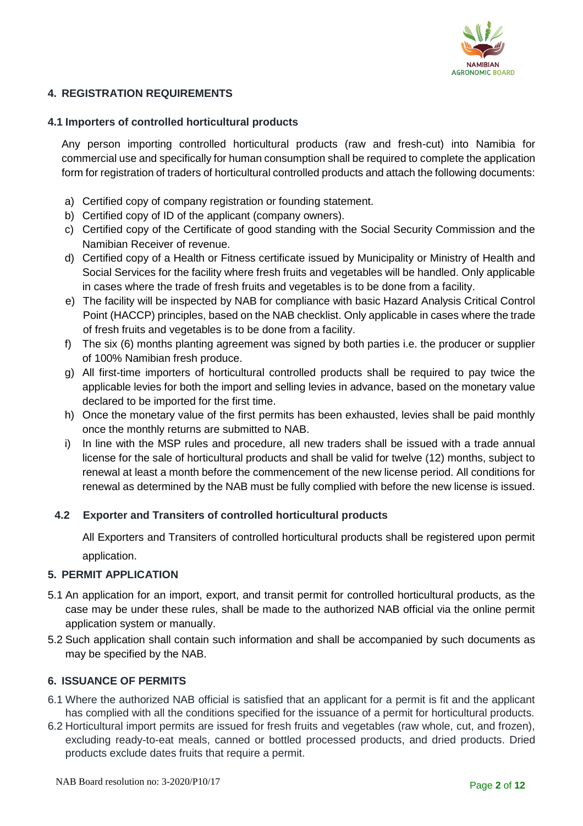

### **4. REGISTRATION REQUIREMENTS**

#### **4.1 Importers of controlled horticultural products**

Any person importing controlled horticultural products (raw and fresh-cut) into Namibia for commercial use and specifically for human consumption shall be required to complete the application form for registration of traders of horticultural controlled products and attach the following documents:

- a) Certified copy of company registration or founding statement.
- b) Certified copy of ID of the applicant (company owners).
- c) Certified copy of the Certificate of good standing with the Social Security Commission and the Namibian Receiver of revenue.
- d) Certified copy of a Health or Fitness certificate issued by Municipality or Ministry of Health and Social Services for the facility where fresh fruits and vegetables will be handled. Only applicable in cases where the trade of fresh fruits and vegetables is to be done from a facility.
- e) The facility will be inspected by NAB for compliance with basic Hazard Analysis Critical Control Point (HACCP) principles, based on the NAB checklist. Only applicable in cases where the trade of fresh fruits and vegetables is to be done from a facility.
- f) The six (6) months planting agreement was signed by both parties i.e. the producer or supplier of 100% Namibian fresh produce.
- g) All first-time importers of horticultural controlled products shall be required to pay twice the applicable levies for both the import and selling levies in advance, based on the monetary value declared to be imported for the first time.
- h) Once the monetary value of the first permits has been exhausted, levies shall be paid monthly once the monthly returns are submitted to NAB.
- i) In line with the MSP rules and procedure, all new traders shall be issued with a trade annual license for the sale of horticultural products and shall be valid for twelve (12) months, subject to renewal at least a month before the commencement of the new license period. All conditions for renewal as determined by the NAB must be fully complied with before the new license is issued.

#### **4.2 Exporter and Transiters of controlled horticultural products**

All Exporters and Transiters of controlled horticultural products shall be registered upon permit application.

#### **5. PERMIT APPLICATION**

- 5.1 An application for an import, export, and transit permit for controlled horticultural products, as the case may be under these rules, shall be made to the authorized NAB official via the online permit application system or manually.
- 5.2 Such application shall contain such information and shall be accompanied by such documents as may be specified by the NAB.

### **6. ISSUANCE OF PERMITS**

- 6.1 Where the authorized NAB official is satisfied that an applicant for a permit is fit and the applicant has complied with all the conditions specified for the issuance of a permit for horticultural products.
- 6.2 Horticultural import permits are issued for fresh fruits and vegetables (raw whole, cut, and frozen), excluding ready-to-eat meals, canned or bottled processed products, and dried products. Dried products exclude dates fruits that require a permit.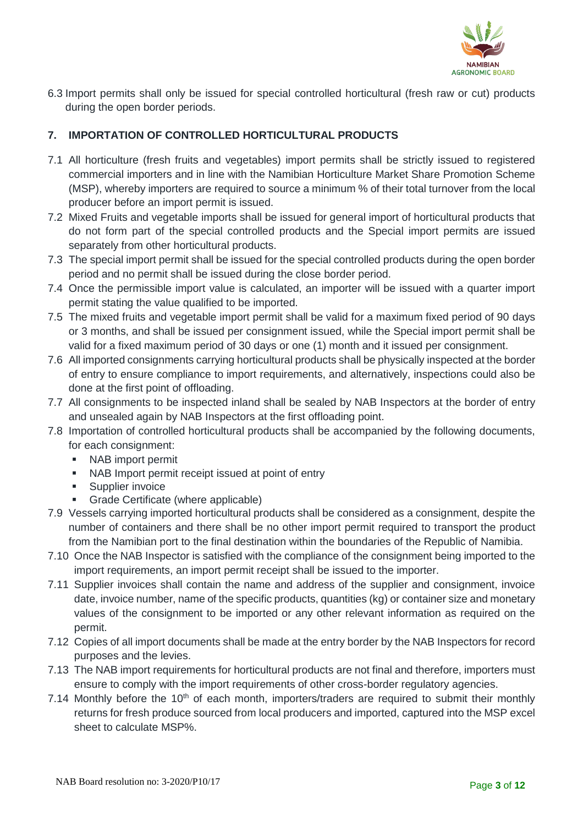

6.3 Import permits shall only be issued for special controlled horticultural (fresh raw or cut) products during the open border periods.

## **7. IMPORTATION OF CONTROLLED HORTICULTURAL PRODUCTS**

- 7.1 All horticulture (fresh fruits and vegetables) import permits shall be strictly issued to registered commercial importers and in line with the Namibian Horticulture Market Share Promotion Scheme (MSP), whereby importers are required to source a minimum % of their total turnover from the local producer before an import permit is issued.
- 7.2 Mixed Fruits and vegetable imports shall be issued for general import of horticultural products that do not form part of the special controlled products and the Special import permits are issued separately from other horticultural products.
- 7.3 The special import permit shall be issued for the special controlled products during the open border period and no permit shall be issued during the close border period.
- 7.4 Once the permissible import value is calculated, an importer will be issued with a quarter import permit stating the value qualified to be imported.
- 7.5 The mixed fruits and vegetable import permit shall be valid for a maximum fixed period of 90 days or 3 months, and shall be issued per consignment issued, while the Special import permit shall be valid for a fixed maximum period of 30 days or one (1) month and it issued per consignment.
- 7.6 All imported consignments carrying horticultural products shall be physically inspected at the border of entry to ensure compliance to import requirements, and alternatively, inspections could also be done at the first point of offloading.
- 7.7 All consignments to be inspected inland shall be sealed by NAB Inspectors at the border of entry and unsealed again by NAB Inspectors at the first offloading point.
- 7.8 Importation of controlled horticultural products shall be accompanied by the following documents, for each consignment:
	- NAB import permit
	- NAB Import permit receipt issued at point of entry
	- Supplier invoice
	- **•** Grade Certificate (where applicable)
- 7.9 Vessels carrying imported horticultural products shall be considered as a consignment, despite the number of containers and there shall be no other import permit required to transport the product from the Namibian port to the final destination within the boundaries of the Republic of Namibia.
- 7.10 Once the NAB Inspector is satisfied with the compliance of the consignment being imported to the import requirements, an import permit receipt shall be issued to the importer.
- 7.11 Supplier invoices shall contain the name and address of the supplier and consignment, invoice date, invoice number, name of the specific products, quantities (kg) or container size and monetary values of the consignment to be imported or any other relevant information as required on the permit.
- 7.12 Copies of all import documents shall be made at the entry border by the NAB Inspectors for record purposes and the levies.
- 7.13 The NAB import requirements for horticultural products are not final and therefore, importers must ensure to comply with the import requirements of other cross-border regulatory agencies.
- 7.14 Monthly before the 10<sup>th</sup> of each month, importers/traders are required to submit their monthly returns for fresh produce sourced from local producers and imported, captured into the MSP excel sheet to calculate MSP%.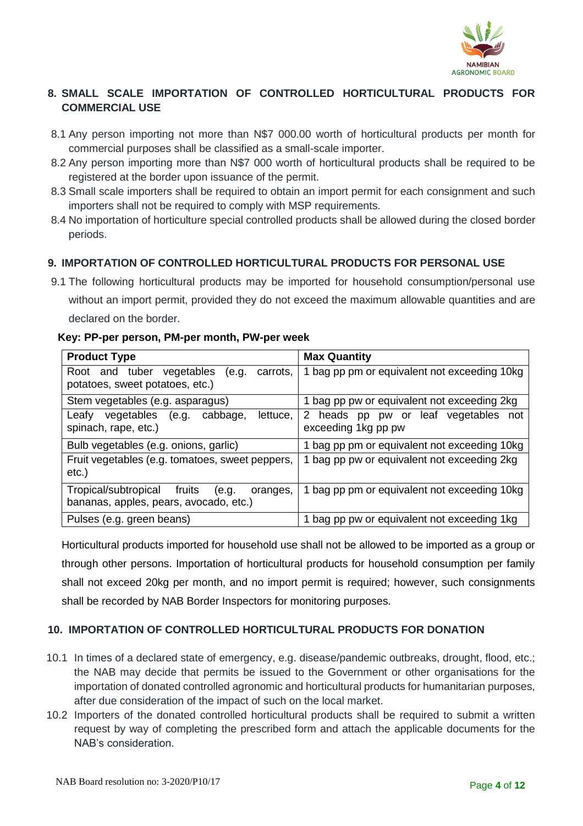

# **8. SMALL SCALE IMPORTATION OF CONTROLLED HORTICULTURAL PRODUCTS FOR COMMERCIAL USE**

- 8.1 Any person importing not more than N\$7 000.00 worth of horticultural products per month for commercial purposes shall be classified as a small-scale importer.
- 8.2 Any person importing more than N\$7 000 worth of horticultural products shall be required to be registered at the border upon issuance of the permit.
- 8.3 Small scale importers shall be required to obtain an import permit for each consignment and such importers shall not be required to comply with MSP requirements.
- 8.4 No importation of horticulture special controlled products shall be allowed during the closed border periods.

# **9. IMPORTATION OF CONTROLLED HORTICULTURAL PRODUCTS FOR PERSONAL USE**

9.1 The following horticultural products may be imported for household consumption/personal use without an import permit, provided they do not exceed the maximum allowable quantities and are declared on the border.

### **Key: PP-per person, PM-per month, PW-per week**

| <b>Product Type</b>                                                                           | <b>Max Quantity</b>                                            |  |  |
|-----------------------------------------------------------------------------------------------|----------------------------------------------------------------|--|--|
| Root and tuber vegetables<br>(e.g.<br>carrots,<br>potatoes, sweet potatoes, etc.)             | 1 bag pp pm or equivalent not exceeding 10kg                   |  |  |
| Stem vegetables (e.g. asparagus)                                                              | 1 bag pp pw or equivalent not exceeding 2kg                    |  |  |
| vegetables<br>cabbage,<br>Leafy<br>lettuce,<br>(e.g.<br>spinach, rape, etc.)                  | 2 heads pp pw or<br>leaf vegetables not<br>exceeding 1kg pp pw |  |  |
| Bulb vegetables (e.g. onions, garlic)                                                         | 1 bag pp pm or equivalent not exceeding 10kg                   |  |  |
| Fruit vegetables (e.g. tomatoes, sweet peppers,<br>$etc.$ )                                   | 1 bag pp pw or equivalent not exceeding 2kg                    |  |  |
| Tropical/subtropical<br>fruits<br>(e.g.<br>oranges,<br>bananas, apples, pears, avocado, etc.) | 1 bag pp pm or equivalent not exceeding 10kg                   |  |  |
| Pulses (e.g. green beans)                                                                     | 1 bag pp pw or equivalent not exceeding 1kg                    |  |  |

Horticultural products imported for household use shall not be allowed to be imported as a group or through other persons. Importation of horticultural products for household consumption per family shall not exceed 20kg per month, and no import permit is required; however, such consignments shall be recorded by NAB Border Inspectors for monitoring purposes.

### **10. IMPORTATION OF CONTROLLED HORTICULTURAL PRODUCTS FOR DONATION**

- 10.1 In times of a declared state of emergency, e.g. disease/pandemic outbreaks, drought, flood, etc.; the NAB may decide that permits be issued to the Government or other organisations for the importation of donated controlled agronomic and horticultural products for humanitarian purposes, after due consideration of the impact of such on the local market.
- 10.2 Importers of the donated controlled horticultural products shall be required to submit a written request by way of completing the prescribed form and attach the applicable documents for the NAB's consideration.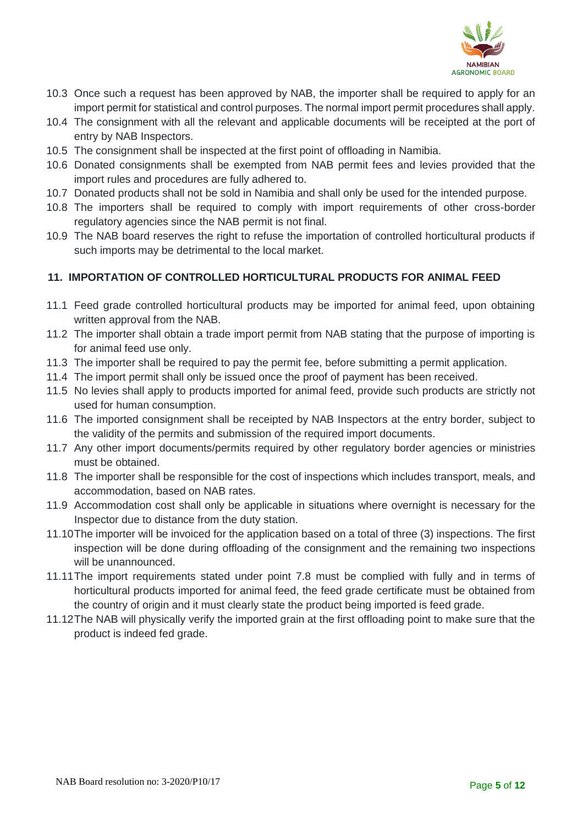

- 10.3 Once such a request has been approved by NAB, the importer shall be required to apply for an import permit for statistical and control purposes. The normal import permit procedures shall apply.
- 10.4 The consignment with all the relevant and applicable documents will be receipted at the port of entry by NAB Inspectors.
- 10.5 The consignment shall be inspected at the first point of offloading in Namibia.
- 10.6 Donated consignments shall be exempted from NAB permit fees and levies provided that the import rules and procedures are fully adhered to.
- 10.7 Donated products shall not be sold in Namibia and shall only be used for the intended purpose.
- 10.8 The importers shall be required to comply with import requirements of other cross-border regulatory agencies since the NAB permit is not final.
- 10.9 The NAB board reserves the right to refuse the importation of controlled horticultural products if such imports may be detrimental to the local market.

### **11. IMPORTATION OF CONTROLLED HORTICULTURAL PRODUCTS FOR ANIMAL FEED**

- 11.1 Feed grade controlled horticultural products may be imported for animal feed, upon obtaining written approval from the NAB.
- 11.2 The importer shall obtain a trade import permit from NAB stating that the purpose of importing is for animal feed use only.
- 11.3 The importer shall be required to pay the permit fee, before submitting a permit application.
- 11.4 The import permit shall only be issued once the proof of payment has been received.
- 11.5 No levies shall apply to products imported for animal feed, provide such products are strictly not used for human consumption.
- 11.6 The imported consignment shall be receipted by NAB Inspectors at the entry border, subject to the validity of the permits and submission of the required import documents.
- 11.7 Any other import documents/permits required by other regulatory border agencies or ministries must be obtained.
- 11.8 The importer shall be responsible for the cost of inspections which includes transport, meals, and accommodation, based on NAB rates.
- 11.9 Accommodation cost shall only be applicable in situations where overnight is necessary for the Inspector due to distance from the duty station.
- 11.10The importer will be invoiced for the application based on a total of three (3) inspections. The first inspection will be done during offloading of the consignment and the remaining two inspections will be unannounced.
- 11.11The import requirements stated under point 7.8 must be complied with fully and in terms of horticultural products imported for animal feed, the feed grade certificate must be obtained from the country of origin and it must clearly state the product being imported is feed grade.
- 11.12The NAB will physically verify the imported grain at the first offloading point to make sure that the product is indeed fed grade.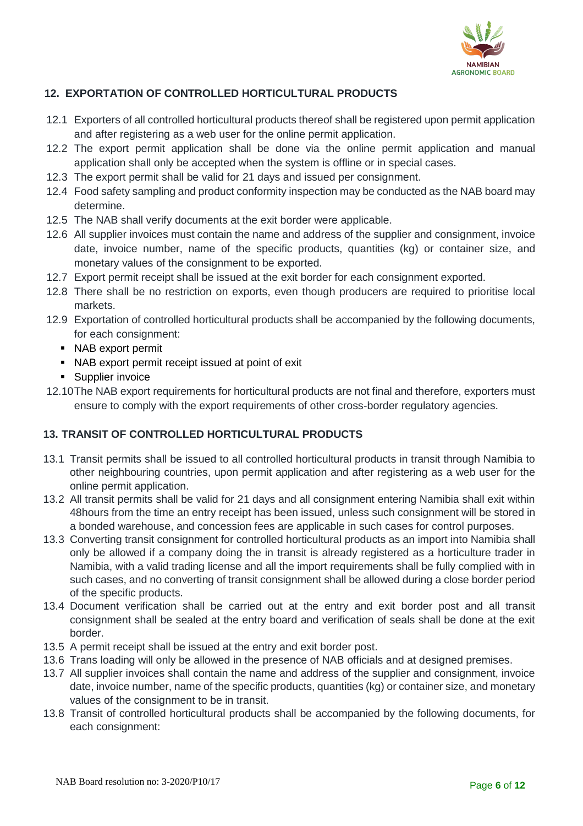

## **12. EXPORTATION OF CONTROLLED HORTICULTURAL PRODUCTS**

- 12.1 Exporters of all controlled horticultural products thereof shall be registered upon permit application and after registering as a web user for the online permit application.
- 12.2 The export permit application shall be done via the online permit application and manual application shall only be accepted when the system is offline or in special cases.
- 12.3 The export permit shall be valid for 21 days and issued per consignment.
- 12.4 Food safety sampling and product conformity inspection may be conducted as the NAB board may determine.
- 12.5 The NAB shall verify documents at the exit border were applicable.
- 12.6 All supplier invoices must contain the name and address of the supplier and consignment, invoice date, invoice number, name of the specific products, quantities (kg) or container size, and monetary values of the consignment to be exported.
- 12.7 Export permit receipt shall be issued at the exit border for each consignment exported.
- 12.8 There shall be no restriction on exports, even though producers are required to prioritise local markets.
- 12.9 Exportation of controlled horticultural products shall be accompanied by the following documents, for each consignment:
	- NAB export permit
	- NAB export permit receipt issued at point of exit
	- Supplier invoice
- 12.10The NAB export requirements for horticultural products are not final and therefore, exporters must ensure to comply with the export requirements of other cross-border regulatory agencies.

### **13. TRANSIT OF CONTROLLED HORTICULTURAL PRODUCTS**

- 13.1 Transit permits shall be issued to all controlled horticultural products in transit through Namibia to other neighbouring countries, upon permit application and after registering as a web user for the online permit application.
- 13.2 All transit permits shall be valid for 21 days and all consignment entering Namibia shall exit within 48hours from the time an entry receipt has been issued, unless such consignment will be stored in a bonded warehouse, and concession fees are applicable in such cases for control purposes.
- 13.3 Converting transit consignment for controlled horticultural products as an import into Namibia shall only be allowed if a company doing the in transit is already registered as a horticulture trader in Namibia, with a valid trading license and all the import requirements shall be fully complied with in such cases, and no converting of transit consignment shall be allowed during a close border period of the specific products.
- 13.4 Document verification shall be carried out at the entry and exit border post and all transit consignment shall be sealed at the entry board and verification of seals shall be done at the exit border.
- 13.5 A permit receipt shall be issued at the entry and exit border post.
- 13.6 Trans loading will only be allowed in the presence of NAB officials and at designed premises.
- 13.7 All supplier invoices shall contain the name and address of the supplier and consignment, invoice date, invoice number, name of the specific products, quantities (kg) or container size, and monetary values of the consignment to be in transit.
- 13.8 Transit of controlled horticultural products shall be accompanied by the following documents, for each consignment: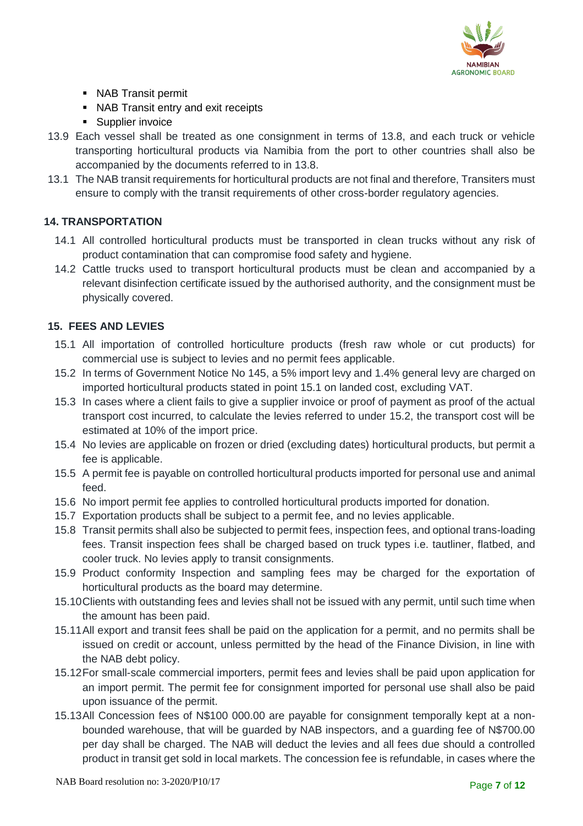

- NAB Transit permit
- NAB Transit entry and exit receipts
- Supplier invoice
- 13.9 Each vessel shall be treated as one consignment in terms of 13.8, and each truck or vehicle transporting horticultural products via Namibia from the port to other countries shall also be accompanied by the documents referred to in 13.8.
- 13.1 The NAB transit requirements for horticultural products are not final and therefore, Transiters must ensure to comply with the transit requirements of other cross-border regulatory agencies.

### **14. TRANSPORTATION**

- 14.1 All controlled horticultural products must be transported in clean trucks without any risk of product contamination that can compromise food safety and hygiene.
- 14.2 Cattle trucks used to transport horticultural products must be clean and accompanied by a relevant disinfection certificate issued by the authorised authority, and the consignment must be physically covered.

### **15. FEES AND LEVIES**

- 15.1 All importation of controlled horticulture products (fresh raw whole or cut products) for commercial use is subject to levies and no permit fees applicable.
- 15.2 In terms of Government Notice No 145, a 5% import levy and 1.4% general levy are charged on imported horticultural products stated in point 15.1 on landed cost, excluding VAT.
- 15.3 In cases where a client fails to give a supplier invoice or proof of payment as proof of the actual transport cost incurred, to calculate the levies referred to under 15.2, the transport cost will be estimated at 10% of the import price.
- 15.4 No levies are applicable on frozen or dried (excluding dates) horticultural products, but permit a fee is applicable.
- 15.5 A permit fee is payable on controlled horticultural products imported for personal use and animal feed.
- 15.6 No import permit fee applies to controlled horticultural products imported for donation.
- 15.7 Exportation products shall be subject to a permit fee, and no levies applicable.
- 15.8 Transit permits shall also be subjected to permit fees, inspection fees, and optional trans-loading fees. Transit inspection fees shall be charged based on truck types i.e. tautliner, flatbed, and cooler truck. No levies apply to transit consignments.
- 15.9 Product conformity Inspection and sampling fees may be charged for the exportation of horticultural products as the board may determine.
- 15.10Clients with outstanding fees and levies shall not be issued with any permit, until such time when the amount has been paid.
- 15.11All export and transit fees shall be paid on the application for a permit, and no permits shall be issued on credit or account, unless permitted by the head of the Finance Division, in line with the NAB debt policy.
- 15.12For small-scale commercial importers, permit fees and levies shall be paid upon application for an import permit. The permit fee for consignment imported for personal use shall also be paid upon issuance of the permit.
- 15.13All Concession fees of N\$100 000.00 are payable for consignment temporally kept at a nonbounded warehouse, that will be guarded by NAB inspectors, and a guarding fee of N\$700.00 per day shall be charged. The NAB will deduct the levies and all fees due should a controlled product in transit get sold in local markets. The concession fee is refundable, in cases where the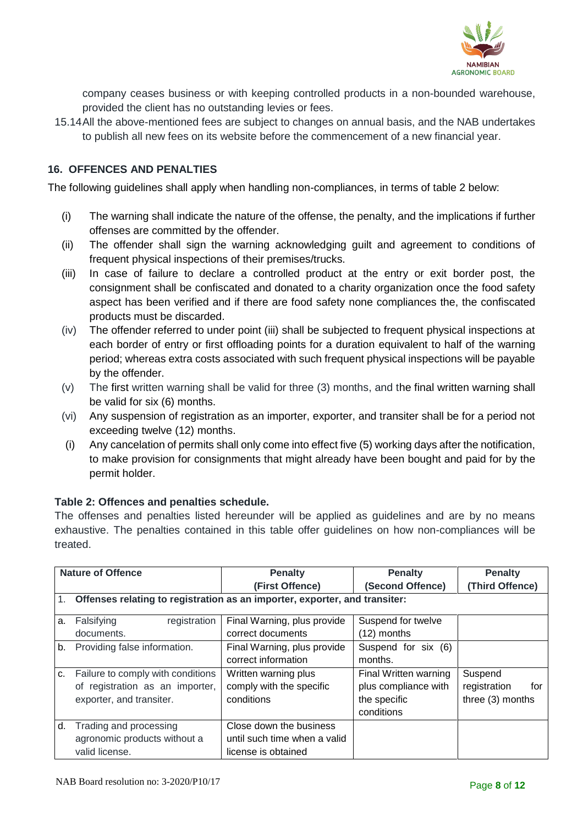

company ceases business or with keeping controlled products in a non-bounded warehouse, provided the client has no outstanding levies or fees.

15.14All the above-mentioned fees are subject to changes on annual basis, and the NAB undertakes to publish all new fees on its website before the commencement of a new financial year.

### **16. OFFENCES AND PENALTIES**

The following guidelines shall apply when handling non-compliances, in terms of table 2 below:

- (i) The warning shall indicate the nature of the offense, the penalty, and the implications if further offenses are committed by the offender.
- (ii) The offender shall sign the warning acknowledging guilt and agreement to conditions of frequent physical inspections of their premises/trucks.
- (iii) In case of failure to declare a controlled product at the entry or exit border post, the consignment shall be confiscated and donated to a charity organization once the food safety aspect has been verified and if there are food safety none compliances the, the confiscated products must be discarded.
- (iv) The offender referred to under point (iii) shall be subjected to frequent physical inspections at each border of entry or first offloading points for a duration equivalent to half of the warning period; whereas extra costs associated with such frequent physical inspections will be payable by the offender.
- (v) The first written warning shall be valid for three (3) months, and the final written warning shall be valid for six (6) months.
- (vi) Any suspension of registration as an importer, exporter, and transiter shall be for a period not exceeding twelve (12) months.
- (i) Any cancelation of permits shall only come into effect five (5) working days after the notification, to make provision for consignments that might already have been bought and paid for by the permit holder.

#### **Table 2: Offences and penalties schedule.**

The offenses and penalties listed hereunder will be applied as guidelines and are by no means exhaustive. The penalties contained in this table offer guidelines on how non-compliances will be treated.

| <b>Nature of Offence</b> |                                                                            | <b>Penalty</b>                 | <b>Penalty</b>        | <b>Penalty</b>      |  |
|--------------------------|----------------------------------------------------------------------------|--------------------------------|-----------------------|---------------------|--|
|                          |                                                                            | (First Offence)                | (Second Offence)      | (Third Offence)     |  |
| 1.                       | Offenses relating to registration as an importer, exporter, and transiter: |                                |                       |                     |  |
| a.                       | Falsifying<br>registration                                                 | Final Warning, plus provide    | Suspend for twelve    |                     |  |
|                          | documents.                                                                 | correct documents              | $(12)$ months         |                     |  |
| b.                       | Providing false information.                                               | Final Warning, plus provide    | Suspend for six (6)   |                     |  |
|                          |                                                                            | correct information<br>months. |                       |                     |  |
| c.                       | Failure to comply with conditions                                          | Written warning plus           | Final Written warning | Suspend             |  |
|                          | of registration as an importer,                                            | comply with the specific       | plus compliance with  | registration<br>for |  |
|                          | exporter, and transiter.                                                   | conditions                     | the specific          | three (3) months    |  |
|                          |                                                                            |                                | conditions            |                     |  |
| d.                       | Trading and processing                                                     | Close down the business        |                       |                     |  |
|                          | agronomic products without a                                               | until such time when a valid   |                       |                     |  |
|                          | valid license.                                                             | license is obtained            |                       |                     |  |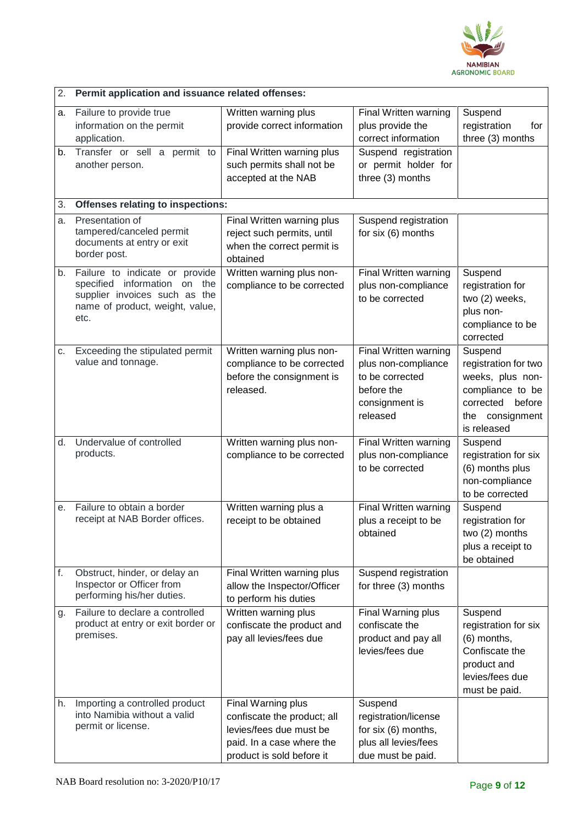

| 2. | Permit application and issuance related offenses:                                                                                          |                                                                                                                                        |                                                                                                             |                                                                                                                                  |  |  |  |
|----|--------------------------------------------------------------------------------------------------------------------------------------------|----------------------------------------------------------------------------------------------------------------------------------------|-------------------------------------------------------------------------------------------------------------|----------------------------------------------------------------------------------------------------------------------------------|--|--|--|
| a. | Failure to provide true<br>information on the permit<br>application.                                                                       | Written warning plus<br>provide correct information                                                                                    | Final Written warning<br>plus provide the<br>correct information                                            | Suspend<br>registration<br>for<br>three (3) months                                                                               |  |  |  |
| b. | Transfer or sell a permit to<br>another person.                                                                                            | Final Written warning plus<br>such permits shall not be<br>accepted at the NAB                                                         | Suspend registration<br>or permit holder for<br>three (3) months                                            |                                                                                                                                  |  |  |  |
| 3. | <b>Offenses relating to inspections:</b>                                                                                                   |                                                                                                                                        |                                                                                                             |                                                                                                                                  |  |  |  |
| a. | Presentation of<br>tampered/canceled permit<br>documents at entry or exit<br>border post.                                                  | Final Written warning plus<br>reject such permits, until<br>when the correct permit is<br>obtained                                     | Suspend registration<br>for six (6) months                                                                  |                                                                                                                                  |  |  |  |
| b. | Failure to indicate or provide<br>specified information on the<br>supplier invoices such as the<br>name of product, weight, value,<br>etc. | Written warning plus non-<br>compliance to be corrected                                                                                | Final Written warning<br>plus non-compliance<br>to be corrected                                             | Suspend<br>registration for<br>two (2) weeks,<br>plus non-<br>compliance to be<br>corrected                                      |  |  |  |
| C. | Exceeding the stipulated permit<br>value and tonnage.                                                                                      | Written warning plus non-<br>compliance to be corrected<br>before the consignment is<br>released.                                      | Final Written warning<br>plus non-compliance<br>to be corrected<br>before the<br>consignment is<br>released | Suspend<br>registration for two<br>weeks, plus non-<br>compliance to be<br>corrected<br>before<br>the consignment<br>is released |  |  |  |
| d. | Undervalue of controlled<br>products.                                                                                                      | Written warning plus non-<br>compliance to be corrected                                                                                | Final Written warning<br>plus non-compliance<br>to be corrected                                             | Suspend<br>registration for six<br>(6) months plus<br>non-compliance<br>to be corrected                                          |  |  |  |
| е. | Failure to obtain a border<br>receipt at NAB Border offices.                                                                               | Written warning plus a<br>receipt to be obtained                                                                                       | Final Written warning<br>plus a receipt to be<br>obtained                                                   | Suspend<br>registration for<br>two (2) months<br>plus a receipt to<br>be obtained                                                |  |  |  |
| f. | Obstruct, hinder, or delay an<br>Inspector or Officer from<br>performing his/her duties.                                                   | Final Written warning plus<br>allow the Inspector/Officer<br>to perform his duties                                                     | Suspend registration<br>for three (3) months                                                                |                                                                                                                                  |  |  |  |
| g. | Failure to declare a controlled<br>product at entry or exit border or<br>premises.                                                         | Written warning plus<br>confiscate the product and<br>pay all levies/fees due                                                          | Final Warning plus<br>confiscate the<br>product and pay all<br>levies/fees due                              | Suspend<br>registration for six<br>(6) months,<br>Confiscate the<br>product and<br>levies/fees due<br>must be paid.              |  |  |  |
| h. | Importing a controlled product<br>into Namibia without a valid<br>permit or license.                                                       | Final Warning plus<br>confiscate the product; all<br>levies/fees due must be<br>paid. In a case where the<br>product is sold before it | Suspend<br>registration/license<br>for six (6) months,<br>plus all levies/fees<br>due must be paid.         |                                                                                                                                  |  |  |  |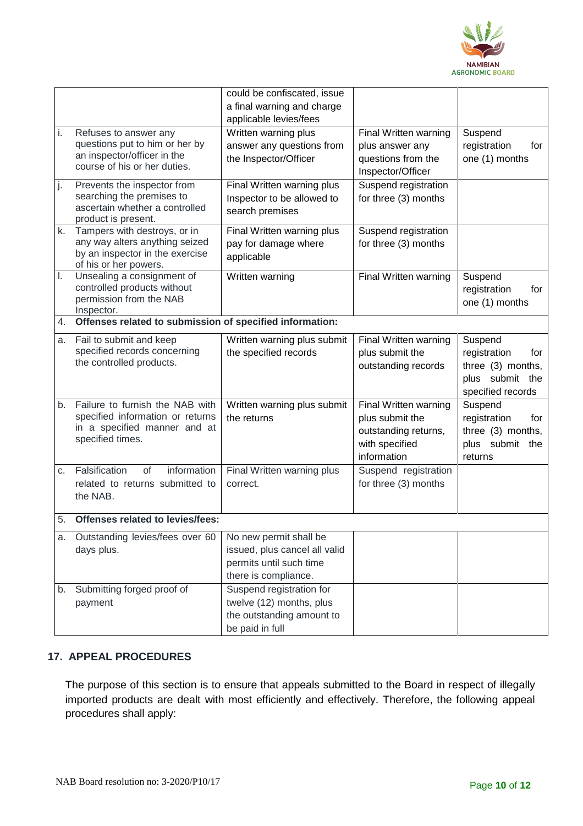

|    |                                                                                                                            | could be confiscated, issue<br>a final warning and charge                                                  |                                                                                                   |                                                                                             |
|----|----------------------------------------------------------------------------------------------------------------------------|------------------------------------------------------------------------------------------------------------|---------------------------------------------------------------------------------------------------|---------------------------------------------------------------------------------------------|
|    |                                                                                                                            | applicable levies/fees                                                                                     |                                                                                                   |                                                                                             |
| i. | Refuses to answer any<br>questions put to him or her by<br>an inspector/officer in the<br>course of his or her duties.     | Written warning plus<br>answer any questions from<br>the Inspector/Officer                                 | Final Written warning<br>plus answer any<br>questions from the<br>Inspector/Officer               | Suspend<br>registration<br>for<br>one (1) months                                            |
| j. | Prevents the inspector from<br>searching the premises to<br>ascertain whether a controlled<br>product is present.          | Final Written warning plus<br>Inspector to be allowed to<br>search premises                                | Suspend registration<br>for three (3) months                                                      |                                                                                             |
| k. | Tampers with destroys, or in<br>any way alters anything seized<br>by an inspector in the exercise<br>of his or her powers. | Final Written warning plus<br>pay for damage where<br>applicable                                           | Suspend registration<br>for three (3) months                                                      |                                                                                             |
| Ι. | Unsealing a consignment of<br>controlled products without<br>permission from the NAB<br>Inspector.                         | Written warning                                                                                            | Final Written warning                                                                             | Suspend<br>registration<br>for<br>one (1) months                                            |
| 4. | Offenses related to submission of specified information:                                                                   |                                                                                                            |                                                                                                   |                                                                                             |
| a. | Fail to submit and keep<br>specified records concerning<br>the controlled products.                                        | Written warning plus submit<br>the specified records                                                       | Final Written warning<br>plus submit the<br>outstanding records                                   | Suspend<br>registration<br>for<br>three (3) months,<br>plus submit the<br>specified records |
| b. | Failure to furnish the NAB with<br>specified information or returns<br>in a specified manner and at<br>specified times.    | Written warning plus submit<br>the returns                                                                 | Final Written warning<br>plus submit the<br>outstanding returns,<br>with specified<br>information | Suspend<br>registration<br>for<br>three (3) months,<br>plus submit the<br>returns           |
| C. | Falsification<br>information<br>of<br>related to returns submitted to<br>the NAB.                                          | Final Written warning plus<br>correct.                                                                     | Suspend registration<br>for three (3) months                                                      |                                                                                             |
| 5. | Offenses related to levies/fees:                                                                                           |                                                                                                            |                                                                                                   |                                                                                             |
| a. | Outstanding levies/fees over 60<br>days plus.                                                                              | No new permit shall be<br>issued, plus cancel all valid<br>permits until such time<br>there is compliance. |                                                                                                   |                                                                                             |
| b. | Submitting forged proof of<br>payment                                                                                      | Suspend registration for<br>twelve (12) months, plus<br>the outstanding amount to<br>be paid in full       |                                                                                                   |                                                                                             |

### **17. APPEAL PROCEDURES**

The purpose of this section is to ensure that appeals submitted to the Board in respect of illegally imported products are dealt with most efficiently and effectively. Therefore, the following appeal procedures shall apply: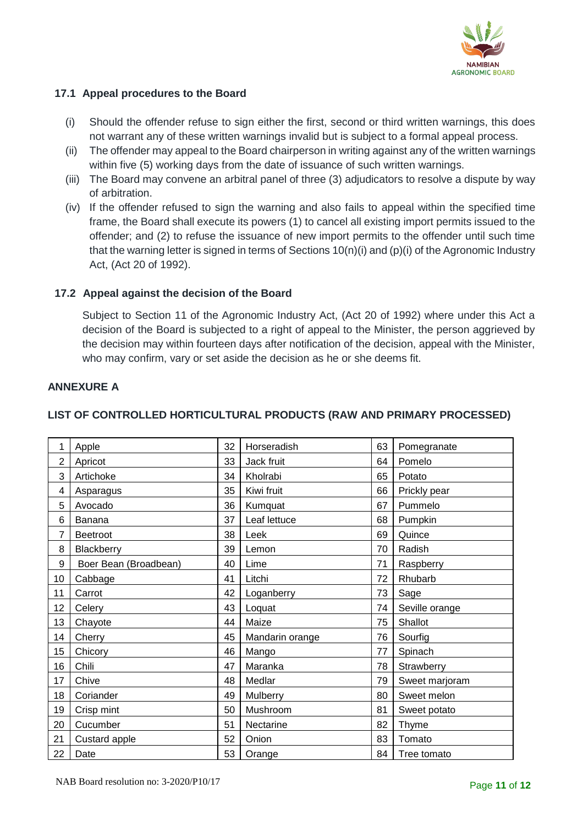

#### **17.1 Appeal procedures to the Board**

- (i) Should the offender refuse to sign either the first, second or third written warnings, this does not warrant any of these written warnings invalid but is subject to a formal appeal process.
- (ii) The offender may appeal to the Board chairperson in writing against any of the written warnings within five (5) working days from the date of issuance of such written warnings.
- (iii) The Board may convene an arbitral panel of three (3) adjudicators to resolve a dispute by way of arbitration.
- (iv) If the offender refused to sign the warning and also fails to appeal within the specified time frame, the Board shall execute its powers (1) to cancel all existing import permits issued to the offender; and (2) to refuse the issuance of new import permits to the offender until such time that the warning letter is signed in terms of Sections  $10(n)(i)$  and  $(p)(i)$  of the Agronomic Industry Act, (Act 20 of 1992).

### **17.2 Appeal against the decision of the Board**

Subject to Section 11 of the Agronomic Industry Act, (Act 20 of 1992) where under this Act a decision of the Board is subjected to a right of appeal to the Minister, the person aggrieved by the decision may within fourteen days after notification of the decision, appeal with the Minister, who may confirm, vary or set aside the decision as he or she deems fit.

### **ANNEXURE A**

| 1              | Apple                 | 32 | Horseradish     | 63 | Pomegranate    |
|----------------|-----------------------|----|-----------------|----|----------------|
| $\overline{2}$ | Apricot               | 33 | Jack fruit      | 64 | Pomelo         |
| 3              | Artichoke             | 34 | Kholrabi        | 65 | Potato         |
| 4              | Asparagus             | 35 | Kiwi fruit      | 66 | Prickly pear   |
| 5              | Avocado               | 36 | Kumquat         | 67 | Pummelo        |
| 6              | Banana                | 37 | Leaf lettuce    | 68 | Pumpkin        |
| 7              | Beetroot              | 38 | Leek            | 69 | Quince         |
| 8              | Blackberry            | 39 | Lemon           | 70 | Radish         |
| 9              | Boer Bean (Broadbean) | 40 | Lime            | 71 | Raspberry      |
| 10             | Cabbage               | 41 | Litchi          | 72 | Rhubarb        |
| 11             | Carrot                | 42 | Loganberry      | 73 | Sage           |
| 12             | Celery                | 43 | Loquat          | 74 | Seville orange |
| 13             | Chayote               | 44 | Maize           | 75 | Shallot        |
| 14             | Cherry                | 45 | Mandarin orange | 76 | Sourfig        |
| 15             | Chicory               | 46 | Mango           | 77 | Spinach        |
| 16             | Chili                 | 47 | Maranka         | 78 | Strawberry     |
| 17             | Chive                 | 48 | Medlar          | 79 | Sweet marjoram |
| 18             | Coriander             | 49 | Mulberry        | 80 | Sweet melon    |
| 19             | Crisp mint            | 50 | Mushroom        | 81 | Sweet potato   |
| 20             | Cucumber              | 51 | Nectarine       | 82 | Thyme          |
| 21             | Custard apple         | 52 | Onion           | 83 | Tomato         |
| 22             | Date                  | 53 | Orange          | 84 | Tree tomato    |

# **LIST OF CONTROLLED HORTICULTURAL PRODUCTS (RAW AND PRIMARY PROCESSED)**